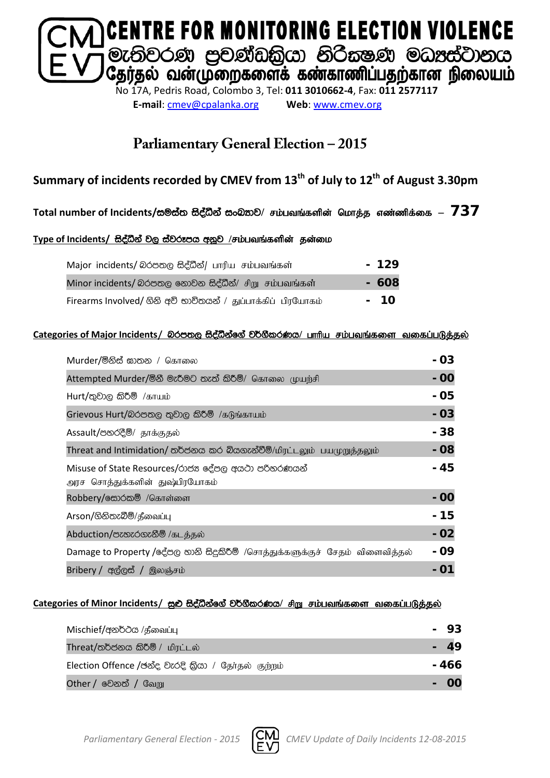

**E-mail**: [cmev@cpalanka.org](mailto:cmev@cpalanka.org) **Web**: [www.cmev.org](http://www.cmev.org/)

### **Parliamentary General Election – 2015**

### **Summary of incidents recorded by CMEV from 13th of July to 12th of August 3.30pm**

#### Total number of Incidents/සමස්ත සිද්ධීන් සංඛතාව/ சம்பவங்களின் மொத்த எண்ணிக்கை — 737

#### Type of Incidents/ සිද්ධීන් වල ස්වරූපය අනූව /சம்பவங்களின் தன்மை

| Major incidents/ லெக்ஸ்டு සිද්ධීන්/ பாரிய சம்பவங்கள்         | $-129$ |
|--------------------------------------------------------------|--------|
| Minor incidents/ බරපතල නොවන සිද්ධීන්/ சிறு சம்பவங்கள்        | - 608  |
| Firearms Involved/ ගිනි අවි භාවිතයන් / துப்பாக்கிப் பிரயோகம் | - 10   |

#### **Categories of Major Incidents/** nrm;, i so aëkaf. a j¾. SlrKh**/** ghhpa rk;gtq ;fis tifg ;gLj;jy ;

| Murder/මිනිස් ඝාතන / கொலை                                                            | - 03  |
|--------------------------------------------------------------------------------------|-------|
| Attempted Murder/මිනී මැරීමට තැත් කිරීම්/ கொலை முயற்சி                               | $-00$ |
| $Hurt /$ තුවාල කිරීම් /காயம்                                                         | - 05  |
| Grievous Hurt/බරපතල තුවාල කිරීම් /கடுங்காயம்                                         | $-03$ |
| Assault/පහරදීම්/ தாக்குதல்                                                           | - 38  |
| Threat and Intimidation/ තර්ජනය කර බියගැන්වීම්/மிரட்டலும் பயமுறுத்தலும்              | $-08$ |
| Misuse of State Resources/රාජන දේපල අයථා පරිතරණයන්<br>அரச சொத்துக்களின் துஷ்பிரயோகம் | - 45  |
| Robbery/க்கூ்க்கு /கொள்ளை                                                            | - 00  |
| Arson/ගිනිතැබීම්/தீவைப்பு                                                            | - 15  |
| Abduction/පැහැරගැනීම් /கடத்தல்                                                       | $-02$ |
| Damage to Property /දේපල හානි සිදුකිරීම් /சொத்துக்களுக்குச் சேதம் விளைவித்தல்        | - 09  |
| Bribery / අල්ලස් / இலஞ்சம்                                                           |       |

#### Categories of Minor Incidents/ සුළු සිද්ධීන්ගේ වර්ගීකරණය/ சிறு சம்பவங்களை வகைப்படுத்தல்

| Mischief/අනර්ථය /தீவைப்பு                           | 93    |
|-----------------------------------------------------|-------|
| Threat/තර්ජනය කිරීම් / மிரட்டல்                     |       |
| Election Offence /ඡන්ද වැරදි කියා / தேர்தல் குற்றம் | - 466 |
| <b>Other / වෙනත් / வேறு</b>                         |       |

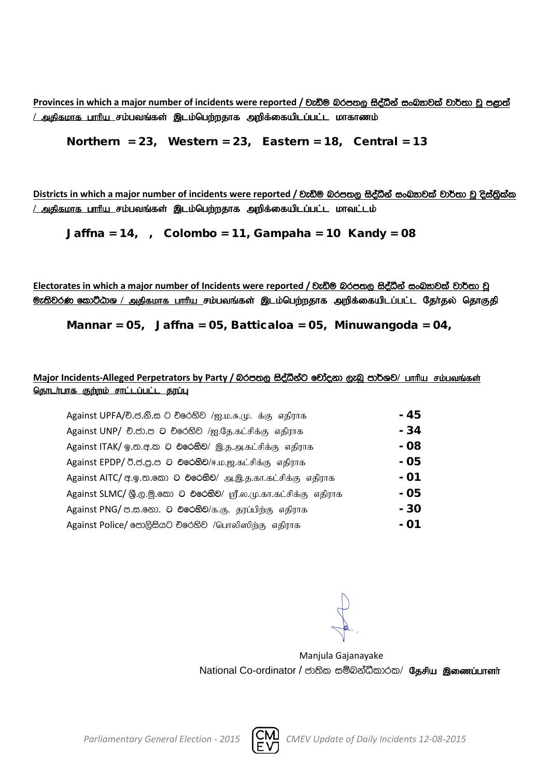**Provinces** in which a major number of incidents were reported / වැඩිම බරපතල සිද්ධීන් සංඛතාවක් වාර්තා වූ පළාත් <u>/ அகிகமாக பாரிய சம்பவங்கள் இடம்பெற்றதாக அறிக்கையிடப்பட்ட மாகாணம்</u>

Northern = 23, Western = 23, Eastern = 18, Central = 13

**Districts** in which a major number of incidents were reported / වැඩිම බරපතල සිද්ධීන් සංඛතාවක් වාර්තා වූ දිස්තිුක්ක <u>/ அதிகமாக பாரிய சம்பவங்கள் இடம்பெற்றதாக அறிக்கையிடப்பட்ட மாவட்டம்</u>

Jaffna =  $14$ , , Colombo =  $11$ , Gampaha =  $10$  Kandy =  $08$ 

Electorates in which a major number of Incidents were reported / වැඩිම බරපතල සිද්ධීන් සංඛතාවක් වාර්තා වූ <mark>ூ: ல</mark>ிவ் கூறிமை / அதிகமாக பாரிய சம்பவங்கள் இடம்பெற்றதாக அறிக்கையிடப்பட்ட தேர்தல் தொகுதி

Mannar = 05, Jaffna = 05, Batticaloa = 05, Minuwangoda = 04,

#### Major Incidents-Alleged Perpetrators by Party / බරපතල සිද්ධීන්ට චෝදනා ලැබූ පාර්ශව/ பாரிய சம்பவங்கள் <u>தொடர்பாக குற்றம் சாட்டப்பட்ட தரப்பு</u>

| Against UPFA/චි.ජ.නි.ස ට චිරෙහිව /ஐ.ம.சு.மு. க்கு எதிராக        | - 45 |
|-----------------------------------------------------------------|------|
| Against UNP/ චි.ජා.ප ට චිරෙහිව /ஐ.தே.கட்சிக்கு எதிராக           | - 34 |
| Against ITAK/ ஓ.ஐசு.ஐ O එරෙහිව/ இ.த.அ.கட்சிக்கு எதிராக          | - 08 |
| Against EPDP/ 0.8.8.8 ට එරෙහිව/ஈ.ம.ஜ.கட்சிக்கு எதிராக           | - 05 |
| Against AITC/ අ. ல. கூல 2 එරෙහිව/ அ. இ. த. கா. கட்சிக்கு எதிராக | - 01 |
| Against SLMC/ இ.ල.මු.කො ට එරෙහිව/ ஸ்ரீ.ல.மு.கா.கட்சிக்கு எதிராக | - 05 |
| Against PNG/ ඏ.ස.නො. ට එරෙහිව/க.கு. தரப்பிற்கு எதிராக           | - 30 |
| Against Police/ පොලිසියට චරෙහිව /பொலிஸிற்கு எதிராக              | - 01 |

Manjula Gajanayake National Co-ordinator / ජාතික සම්බන්ධීකාරක/ தேசிய இணைப்பாளர்

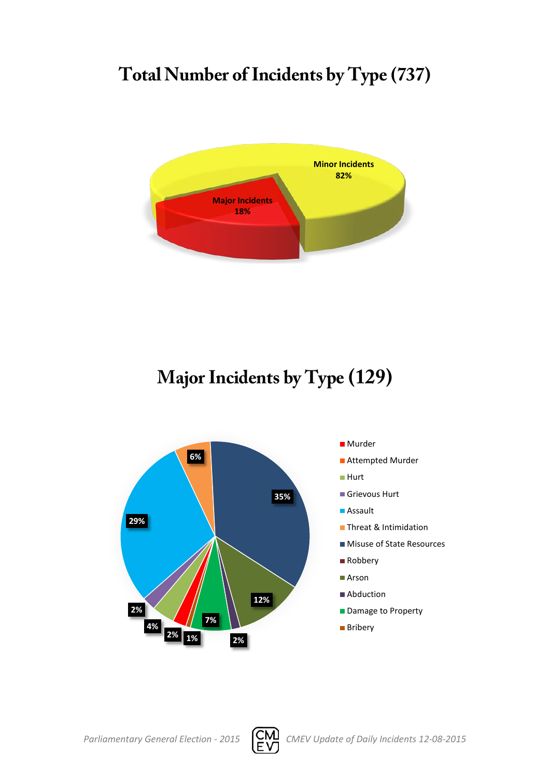# **Total Number of Incidents by Type (737)**



# **Major Incidents by Type (129)**